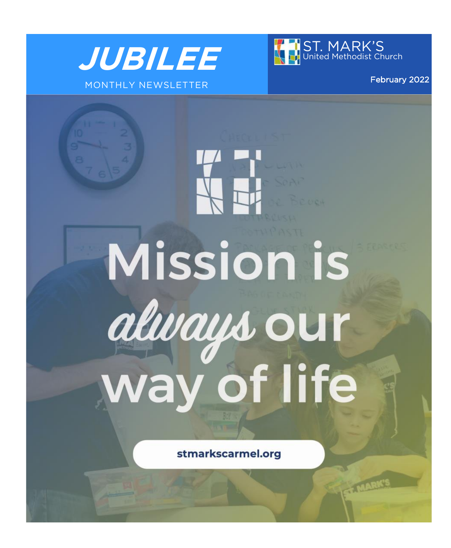



February 2022

stmarkscarmel.org

**Mission is** 

always our

way of life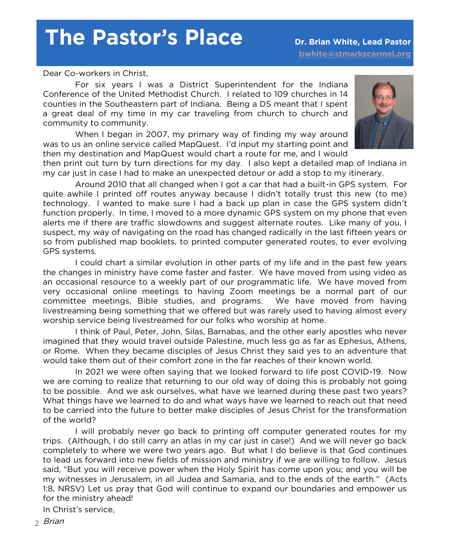# **The Pastor's Place Dr. Brian White, Lead Pastor**

Dear Co-workers in Christ,

For six years I was a District Superintendent for the Indiana Conference of the United Methodist Church. I related to 109 churches in 14 counties in the Southeastern part of Indiana. Being a DS meant that I spent a great deal of my time in my car traveling from church to church and community to community.

When I began in 2007, my primary way of finding my way around was to us an online service called MapQuest. I'd input my starting point and then my destination and MapQuest would chart a route for me, and I would



then print out turn by turn directions for my day. I also kept a detailed map of Indiana in my car just in case I had to make an unexpected detour or add a stop to my itinerary.

Around 2010 that all changed when I got a car that had a built-in GPS system. For quite awhile I printed off routes anyway because I didn't totally trust this new (to me) technology. I wanted to make sure I had a back up plan in case the GPS system didn't function properly. In time, I moved to a more dynamic GPS system on my phone that even alerts me if there are traffic slowdowns and suggest alternate routes. Like many of you, I suspect, my way of navigating on the road has changed radically in the last fifteen years or so from published map booklets, to printed computer generated routes, to ever evolving GPS systems.

I could chart a similar evolution in other parts of my life and in the past few years the changes in ministry have come faster and faster. We have moved from using video as an occasional resource to a weekly part of our programmatic life. We have moved from very occasional online meetings to having Zoom meetings be a normal part of our committee meetings, Bible studies, and programs. We have moved from having livestreaming being something that we offered but was rarely used to having almost every worship service being livestreamed for our folks who worship at home.

I think of Paul, Peter, John, Silas, Barnabas, and the other early apostles who never imagined that they would travel outside Palestine, much less go as far as Ephesus, Athens, or Rome. When they became disciples of Jesus Christ they said yes to an adventure that would take them out of their comfort zone in the far reaches of their known world.

In 2021 we were often saying that we looked forward to life post COVID-19. Now we are coming to realize that returning to our old way of doing this is probably not going to be possible. And we ask ourselves, what have we learned during these past two years? What things have we learned to do and what ways have we learned to reach out that need to be carried into the future to better make disciples of Jesus Christ for the transformation of the world?

I will probably never go back to printing off computer generated routes for my trips. (Although, I do still carry an atlas in my car just in case!) And we will never go back completely to where we were two years ago. But what I do believe is that God continues to lead us forward into new fields of mission and ministry if we are willing to follow. Jesus said, "But you will receive power when the Holy Spirit has come upon you; and you will be my witnesses in Jerusalem, in all Judea and Samaria, and to the ends of the earth." (Acts 1:8, NRSV) Let us pray that God will continue to expand our boundaries and empower us for the ministry ahead!

In Christ's service,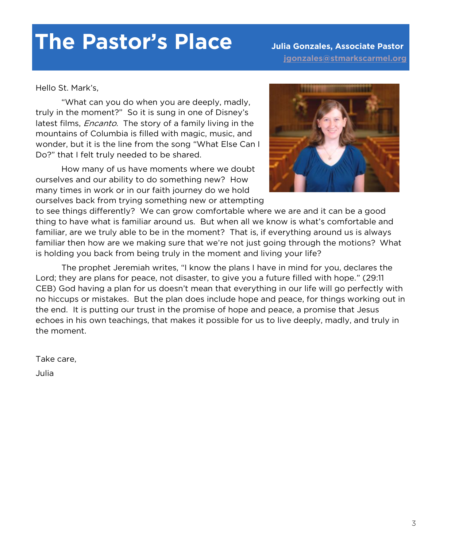# **The Pastor's Place Julia Gonzales, Associate Pastor**

 **[jgonzales@stmarkscarmel.org](mailto:jgonzalas@stmarkscarmel.org)**

Hello St. Mark's,

"What can you do when you are deeply, madly, truly in the moment?" So it is sung in one of Disney's latest films, *Encanto*. The story of a family living in the mountains of Columbia is filled with magic, music, and wonder, but it is the line from the song "What Else Can I Do?" that I felt truly needed to be shared.

How many of us have moments where we doubt ourselves and our ability to do something new? How many times in work or in our faith journey do we hold ourselves back from trying something new or attempting



to see things differently? We can grow comfortable where we are and it can be a good thing to have what is familiar around us. But when all we know is what's comfortable and familiar, are we truly able to be in the moment? That is, if everything around us is always familiar then how are we making sure that we're not just going through the motions? What is holding you back from being truly in the moment and living your life?

The prophet Jeremiah writes, "I know the plans I have in mind for you, declares the Lord; they are plans for peace, not disaster, to give you a future filled with hope." (29:11 CEB) God having a plan for us doesn't mean that everything in our life will go perfectly with no hiccups or mistakes. But the plan does include hope and peace, for things working out in the end. It is putting our trust in the promise of hope and peace, a promise that Jesus echoes in his own teachings, that makes it possible for us to live deeply, madly, and truly in the moment.

Take care, Julia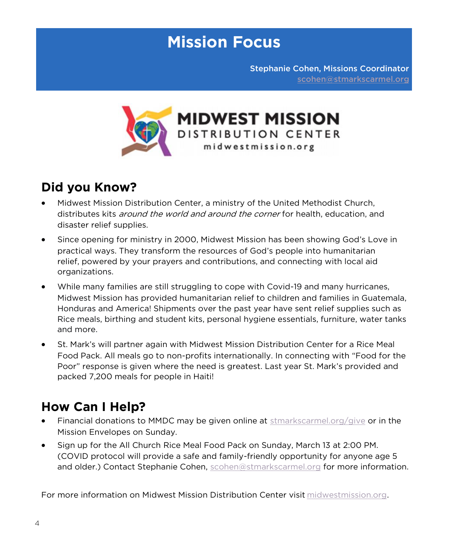## **Mission Focus**

Stephanie Cohen, Missions Coordinator [scohen@stmarkscarmel.org](mailto:scohen@stmarkscarmel.org)



## **Did you Know?**

- Midwest Mission Distribution Center, a ministry of the United Methodist Church, distributes kits *around the world and around the corner* for health, education, and disaster relief supplies.
- Since opening for ministry in 2000, Midwest Mission has been showing God's Love in practical ways. They transform the resources of God's people into humanitarian relief, powered by your prayers and contributions, and connecting with local aid organizations.
- While many families are still struggling to cope with Covid-19 and many hurricanes, Midwest Mission has provided humanitarian relief to children and families in Guatemala, Honduras and America! Shipments over the past year have sent relief supplies such as Rice meals, birthing and student kits, personal hygiene essentials, furniture, water tanks and more.
- St. Mark's will partner again with Midwest Mission Distribution Center for a Rice Meal Food Pack. All meals go to non-profits internationally. In connecting with "Food for the Poor" response is given where the need is greatest. Last year St. Mark's provided and packed 7,200 meals for people in Haiti!

## **How Can I Help?**

- Financial donations to MMDC may be given online at [stmarkscarmel.org/give](https://secure.etransfer.com/EFT/custom/smumc/BlockCode/donation1.cfm?d2org=SMUMC&d2tool=donate) or in the Mission Envelopes on Sunday.
- Sign up for the All Church Rice Meal Food Pack on Sunday, March 13 at 2:00 PM. (COVID protocol will provide a safe and family-friendly opportunity for anyone age 5 and older.) Contact Stephanie Cohen, [scohen@stmarkscarmel.org](mailto:scohen@stmarkscarmel.org?subject=Midwest%20Food%20Distribution) for more information.

For more information on Midwest Mission Distribution Center visit [midwestmission.org.](https://www.midwestmission.org/)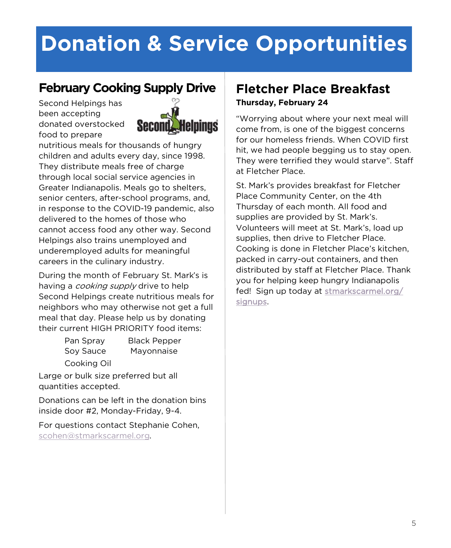# **Donation & Service Opportunities**

## **February Cooking Supply Drive**

Second Helpings has been accepting donated overstocked food to prepare



nutritious meals for thousands of hungry children and adults every day, since 1998. They distribute meals free of charge through local social service agencies in Greater Indianapolis. Meals go to shelters, senior centers, after-school programs, and, in response to the COVID-19 pandemic, also delivered to the homes of those who cannot access food any other way. Second Helpings also trains unemployed and underemployed adults for meaningful careers in the culinary industry.

During the month of February St. Mark's is having a *cooking supply* drive to help Second Helpings create nutritious meals for neighbors who may otherwise not get a full meal that day. Please help us by donating their current HIGH PRIORITY food items:

Pan Spray Black Pepper Soy Sauce Mayonnaise

Cooking Oil

Large or bulk size preferred but all quantities accepted.

Donations can be left in the donation bins inside door #2, Monday-Friday, 9-4.

For questions contact Stephanie Cohen, [scohen@stmarkscarmel.org.](mailto:scohen@stmarkscarmel.org?subject=Second%20Helpings)

### **Fletcher Place Breakfast Thursday, February 24**

"Worrying about where your next meal will come from, is one of the biggest concerns for our homeless friends. When COVID first hit, we had people begging us to stay open. They were terrified they would starve". Staff at Fletcher Place.

St. Mark's provides breakfast for Fletcher Place Community Center, on the 4th Thursday of each month. All food and supplies are provided by St. Mark's. Volunteers will meet at St. Mark's, load up supplies, then drive to Fletcher Place. Cooking is done in Fletcher Place's kitchen, packed in carry-out containers, and then distributed by staff at Fletcher Place. Thank you for helping keep hungry Indianapolis fed! Sign up today at [stmarkscarmel.org/](https://stmarkscarmel.org/signups/) [signups.](https://stmarkscarmel.org/signups/)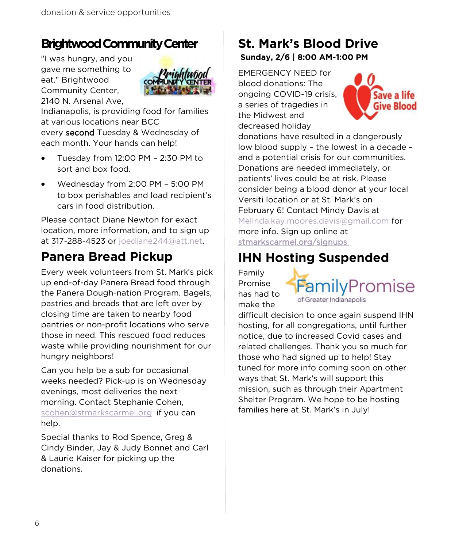## **Brightwood Community Center**

"I was hungry, and you gave me something to eat." Brightwood Community Center, 2140 N. Arsenal Ave,



Indianapolis, is providing food for families at various locations near BCC every second Tuesday & Wednesday of each month. Your hands can help!

- Tuesday from 12:00 PM 2:30 PM to sort and box food.
- Wednesday from 2:00 PM 5:00 PM to box perishables and load recipient's cars in food distribution.

Please contact Diane Newton for exact location, more information, and to sign up at 317-288-4523 or [joediane244@att.net.](mailto:joediane244@att.net)

## **Panera Bread Pickup**

Every week volunteers from St. Mark's pick up end-of-day Panera Bread food through the Panera Dough-nation Program. Bagels, pastries and breads that are left over by closing time are taken to nearby food pantries or non-profit locations who serve those in need. This rescued food reduces waste while providing nourishment for our hungry neighbors!

Can you help be a sub for occasional weeks needed? Pick-up is on Wednesday evenings, most deliveries the next morning. Contact Stephanie Cohen, [scohen@stmarkscarmel.org](mailto:scohen@stmarkscarmel.org) if you can help.

Special thanks to Rod Spence, Greg & Cindy Binder, Jay & Judy Bonnet and Carl & Laurie Kaiser for picking up the donations.

### **St. Mark's Blood Drive Sunday, 2/6 | 8:00 AM-1:00 PM**

EMERGENCY NEED for blood donations: The ongoing COVID-19 crisis, a series of tragedies in the Midwest and decreased holiday



donations have resulted in a dangerously low blood supply – the lowest in a decade – and a potential crisis for our communities. Donations are needed immediately, or patients' lives could be at risk. Please consider being a blood donor at your local Versiti location or at St. Mark's on February 6! Contact Mindy Davis at [Melinda.kay.moores.davis@gmail.com](mailto:Melinda.kay.moores.davis@gmail.com) for more info. Sign up online at [stmarkscarmel.org/signups.](https://stmarkscarmel.org/signups/)

## **IHN Hosting Suspended**

Family Promise has had to make the



difficult decision to once again suspend IHN hosting, for all congregations, until further notice, due to increased Covid cases and related challenges. Thank you so much for those who had signed up to help! Stay tuned for more info coming soon on other ways that St. Mark's will support this mission, such as through their Apartment Shelter Program. We hope to be hosting families here at St. Mark's in July!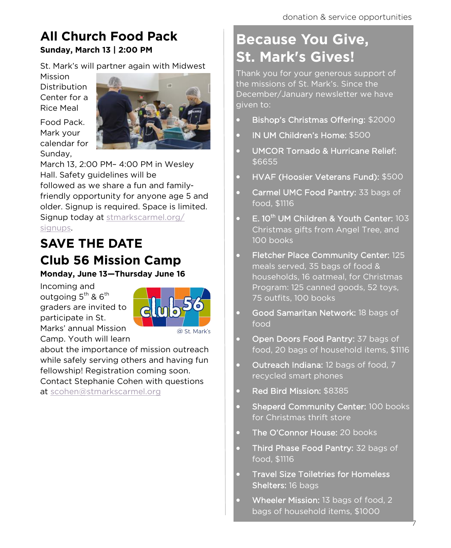## **All Church Food Pack Sunday, March 13 | 2:00 PM**

St. Mark's will partner again with Midwest

Mission **Distribution** Center for a Rice Meal

Food Pack. Mark your calendar for Sunday,



March 13, 2:00 PM– 4:00 PM in Wesley Hall. Safety guidelines will be followed as we share a fun and familyfriendly opportunity for anyone age 5 and older. Signup is required. Space is limited. Signup today at [stmarkscarmel.org/](https://stmarkscarmel.org/signups/) [signups.](https://stmarkscarmel.org/signups/)

## **SAVE THE DATE Club 56 Mission Camp**

**Monday, June 13—Thursday June 16**

Incoming and outgoing 5<sup>th</sup> & 6<sup>th</sup> graders are invited to participate in St. Marks' annual Mission Camp. Youth will learn



about the importance of mission outreach while safely serving others and having fun fellowship! Registration coming soon. Contact Stephanie Cohen with questions at [scohen@stmarkscarmel.org](mailto:scohen@stmarkscarmel.org)

## **Because You Give, St. Mark's Gives!**

Thank you for your generous support of the missions of St. Mark's. Since the December/January newsletter we have given to:

- Bishop's Christmas Offering: \$2000
- IN UM Children's Home: \$500
- UMCOR Tornado & Hurricane Relief: \$6655
- HVAF (Hoosier Veterans Fund): \$500
- Carmel UMC Food Pantry: 33 bags of food, \$1116
- E. 10<sup>th</sup> UM Children & Youth Center: 103 Christmas gifts from Angel Tree, and 100 books
- Fletcher Place Community Center: 125 meals served, 35 bags of food & households, 16 oatmeal, for Christmas Program: 125 canned goods, 52 toys, 75 outfits, 100 books
- Good Samaritan Network: 18 bags of food
- Open Doors Food Pantry: 37 bags of food, 20 bags of household items, \$1116
- Outreach Indiana: 12 bags of food, 7 recycled smart phones
- Red Bird Mission: \$8385
- Sheperd Community Center: 100 books for Christmas thrift store
- The O'Connor House: 20 books
- Third Phase Food Pantry: 32 bags of food, \$1116
- Travel Size Toiletries for Homeless Shelters: 16 bags
- Wheeler Mission: 13 bags of food, 2 bags of household items, \$1000

7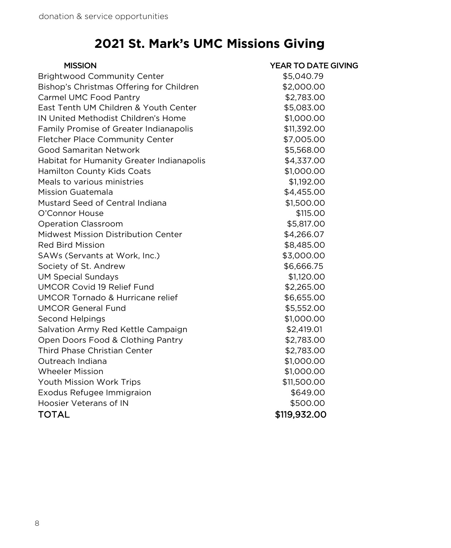## **2021 St. Mark's UMC Missions Giving**

| <b>MISSION</b>                            | YEAR TO DATE GIVING |
|-------------------------------------------|---------------------|
| <b>Brightwood Community Center</b>        | \$5,040.79          |
| Bishop's Christmas Offering for Children  | \$2,000.00          |
| Carmel UMC Food Pantry                    | \$2,783.00          |
| East Tenth UM Children & Youth Center     | \$5,083.00          |
| IN United Methodist Children's Home       | \$1,000.00          |
| Family Promise of Greater Indianapolis    | \$11,392.00         |
| <b>Fletcher Place Community Center</b>    | \$7,005.00          |
| Good Samaritan Network                    | \$5,568.00          |
| Habitat for Humanity Greater Indianapolis | \$4,337.00          |
| Hamilton County Kids Coats                | \$1,000.00          |
| Meals to various ministries               | \$1,192.00          |
| Mission Guatemala                         | \$4,455.00          |
| Mustard Seed of Central Indiana           | \$1,500.00          |
| O'Connor House                            | \$115.00            |
| <b>Operation Classroom</b>                | \$5,817.00          |
| Midwest Mission Distribution Center       | \$4,266.07          |
| <b>Red Bird Mission</b>                   | \$8,485.00          |
| SAWs (Servants at Work, Inc.)             | \$3,000.00          |
| Society of St. Andrew                     | \$6,666.75          |
| <b>UM Special Sundays</b>                 | \$1,120.00          |
| <b>UMCOR Covid 19 Relief Fund</b>         | \$2,265.00          |
| UMCOR Tornado & Hurricane relief          | \$6,655.00          |
| <b>UMCOR General Fund</b>                 | \$5,552.00          |
| Second Helpings                           | \$1,000.00          |
| Salvation Army Red Kettle Campaign        | \$2,419.01          |
| Open Doors Food & Clothing Pantry         | \$2,783.00          |
| <b>Third Phase Christian Center</b>       | \$2,783.00          |
| Outreach Indiana                          | \$1,000.00          |
| <b>Wheeler Mission</b>                    | \$1,000.00          |
| Youth Mission Work Trips                  | \$11,500.00         |
| Exodus Refugee Immigraion                 | \$649.00            |
| Hoosier Veterans of IN                    | \$500.00            |
| <b>TOTAL</b>                              | \$119,932.00        |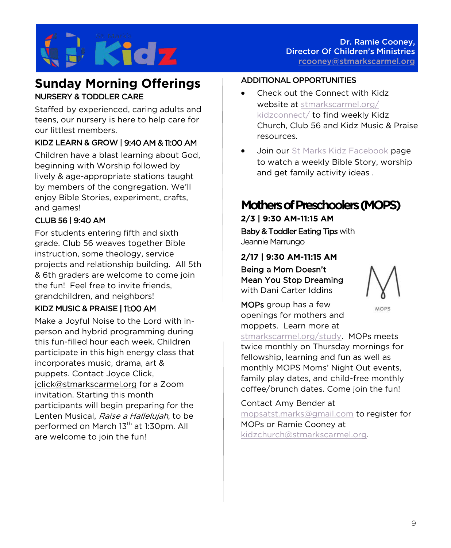

### **Sunday Morning Offerings** NURSERY & TODDLER CARE

Staffed by experienced, caring adults and teens, our nursery is here to help care for our littlest members.

### KIDZ LEARN & GROW | 9:40 AM & 11:00 AM

Children have a blast learning about God, beginning with Worship followed by lively & age-appropriate stations taught by members of the congregation. We'll enjoy Bible Stories, experiment, crafts, and games!

### CLUB 56 | 9:40 AM

For students entering fifth and sixth grade. Club 56 weaves together Bible instruction, some theology, service projects and relationship building. All 5th & 6th graders are welcome to come join the fun! Feel free to invite friends, grandchildren, and neighbors!

### KIDZ MUSIC & PRAISE | 11:00 AM

Make a Joyful Noise to the Lord with inperson and hybrid programming during this fun-filled hour each week. Children participate in this high energy class that incorporates music, drama, art & puppets. Contact Joyce Click, [jclick@stmarkscarmel.org](mailto:jclick@stmarkscarmel.org) for a Zoom invitation. Starting this month participants will begin preparing for the Lenten Musical, Raise a Hallelujah, to be performed on March 13<sup>th</sup> at 1:30pm. All are welcome to join the fun!

### ADDITIONAL OPPORTUNITIES

- Check out the Connect with Kidz website at [stmarkscarmel.org/](https://stmarkscarmel.org/kidzconnect/) [kidzconnect/](https://stmarkscarmel.org/kidzconnect/) to find weekly Kidz Church, Club 56 and Kidz Music & Praise resources.
- Join our [St Marks Kidz Facebook](https://www.facebook.com/groups/stmarkskidz) page to watch a weekly Bible Story, worship and get family activity ideas .

### **Mothers of Preschoolers (MOPS)**

**2/3 | 9:30 AM-11:15 AM** Baby & Toddler Eating Tips with Jeannie Marrungo

**2/17 | 9:30 AM-11:15 AM** 

Being a Mom Doesn't Mean You Stop Dreaming with Dani Carter Iddins



MOPS

MOPs group has a few openings for mothers and moppets. Learn more at

[stmarkscarmel.org/study.](https://stmarkscarmel.org/groups/) MOPs meets twice monthly on Thursday mornings for fellowship, learning and fun as well as monthly MOPS Moms' Night Out events, family play dates, and child-free monthly coffee/brunch dates. Come join the fun!

Contact Amy Bender at [mopsatst.marks@gmail.com](mailto:mopsatst.marks@gmail.com) to register for MOPs or Ramie Cooney at [kidzchurch@stmarkscarmel.org.](mailto:kidzchurch@stmarkscarmel.org)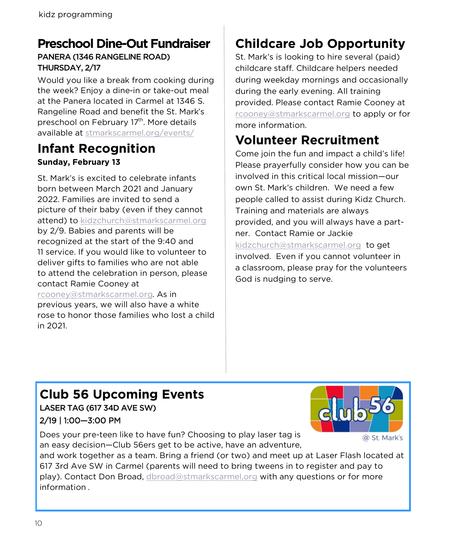## **Preschool Dine-Out Fundraiser**

### PANERA (1346 RANGELINE ROAD) THURSDAY, 2/17

Would you like a break from cooking during the week? Enjoy a dine-in or take-out meal at the Panera located in Carmel at 1346 S. Rangeline Road and benefit the St. Mark's preschool on February 17<sup>th</sup>. More details available at [stmarkscarmel.org/events/](https://stmarkscarmel.org/events/)

## **Infant Recognition Sunday, February 13**

St. Mark's is excited to celebrate infants born between March 2021 and January 2022. Families are invited to send a picture of their baby (even if they cannot attend) to [kidzchurch@stmarkscarmel.org](mailto:kidzchurch@stmarkscarmel.org) by 2/9. Babies and parents will be recognized at the start of the 9:40 and 11 service. If you would like to volunteer to deliver gifts to families who are not able to attend the celebration in person, please contact Ramie Cooney at [rcooney@stmarkscarmel.org.](mailto:rcooney@stmarkscarmel.org) As in previous years, we will also have a white rose to honor those families who lost a child

## **Childcare Job Opportunity**

St. Mark's is looking to hire several (paid) childcare staff. Childcare helpers needed during weekday mornings and occasionally during the early evening. All training provided. Please contact Ramie Cooney at [rcooney@stmarkscarmel.org](mailto:rcooney@stmarkscarmel.org) to apply or for more information.

## **Volunteer Recruitment**

Come join the fun and impact a child's life! Please prayerfully consider how you can be involved in this critical local mission—our own St. Mark's children. We need a few people called to assist during Kidz Church. Training and materials are always provided, and you will always have a partner. Contact Ramie or Jackie [kidzchurch@stmarkscarmel.org](mailto:kidzchurch@stmarkscarmel.org) to get involved. Even if you cannot volunteer in a classroom, please pray for the volunteers God is nudging to serve.

## **Club 56 Upcoming Events**

LASER TAG (617 34D AVE SW) 2/19 | 1:00—3:00 PM

Does your pre-teen like to have fun? Choosing to play laser tag is an easy decision—Club 56ers get to be active, have an adventure,



@ St. Mark's

and work together as a team. Bring a friend (or two) and meet up at Laser Flash located at 617 3rd Ave SW in Carmel (parents will need to bring tweens in to register and pay to play). Contact Don Broad, [dbroad@stmarkscarmel,org](mailto:dbroad@stmarkscarmel,org) with any questions or for more information .

in 2021.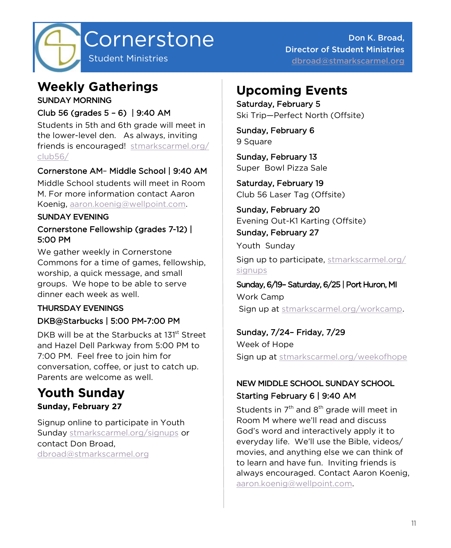

Don K. Broad, Director of Student Ministries [dbroad@stmarkscarmel.org](mailto:dbroad@stmarkscarmel.org)

## **Weekly Gatherings**

SUNDAY MORNING

### Club 56 (grades 5 – 6) | 9:40 AM

Students in 5th and 6th grade will meet in the lower-level den. As always, inviting friends is encouraged! [stmarkscarmel.org/](https://stmarkscarmel.org/club56/) [club56/](https://stmarkscarmel.org/club56/)

### Cornerstone AM– Middle School | 9:40 AM

Middle School students will meet in Room M. For more information contact Aaron Koenig, [aaron.koenig@wellpoint.com.](mailto:aaron.koenig@wellpoint.com)

### SUNDAY EVENING

### Cornerstone Fellowship (grades 7-12) | 5:00 PM

We gather weekly in Cornerstone Commons for a time of games, fellowship, worship, a quick message, and small groups. We hope to be able to serve dinner each week as well.

### THURSDAY EVENINGS DKB@Starbucks | 5:00 PM-7:00 PM

DKB will be at the Starbucks at 131<sup>st</sup> Street and Hazel Dell Parkway from 5:00 PM to 7:00 PM. Feel free to join him for conversation, coffee, or just to catch up. Parents are welcome as well.

## **Youth Sunday**

### **Sunday, February 27**

Signup online to participate in Youth Sunday [stmarkscarmel.org/signups](https://stmarkscarmel.org/signups) or contact Don Broad, [dbroad@stmarkscarmel.org](mailto:https://stmarkscarmel.org/signups)

## **Upcoming Events**

Saturday, February 5 Ski Trip—Perfect North (Offsite)

Sunday, February 6 9 Square

Sunday, February 13 Super Bowl Pizza Sale

Saturday, February 19 Club 56 Laser Tag (Offsite)

Sunday, February 20 Evening Out-K1 Karting (Offsite)

### Sunday, February 27

Youth Sunday

Sign up to participate, [stmarkscarmel.org/](https://www.signupgenius.com/go/10c094ba9a722a13-youth) [signups](https://www.signupgenius.com/go/10c094ba9a722a13-youth)

### Sunday, 6/19– Saturday, 6/25 | Port Huron, MI Work Camp

Sign up at [stmarkscarmel.org/workcamp.](https://stmarkscarmel.org/workcamp/)

### Sunday, 7/24– Friday, 7/29

Week of Hope Sign up at [stmarkscarmel.org/weekofhope](https://stmarkscarmel.org/weekofhope/)

### NEW MIDDLE SCHOOL SUNDAY SCHOOL Starting February 6 | 9:40 AM

Students in  $7<sup>th</sup>$  and  $8<sup>th</sup>$  grade will meet in Room M where we'll read and discuss God's word and interactively apply it to everyday life. We'll use the Bible, videos/ movies, and anything else we can think of to learn and have fun. Inviting friends is always encouraged. Contact Aaron Koenig, [aaron.koenig@wellpoint.com.](mailto:aaron.koenig@wellpoint.com)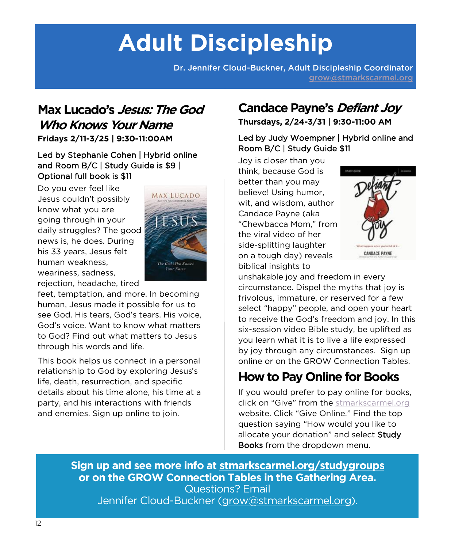# **Adult Discipleship**

Dr. Jennifer Cloud-Buckner, Adult Discipleship Coordinator [grow@stmarkscarmel.org](mailto:grow@stmarkscarmel.org)

## **Max Lucado's Jesus: The God Who Knows Your Name**

**Fridays 2/11-3/25 | 9:30-11:00AM**

### Led by Stephanie Cohen | Hybrid online and Room B/C | Study Guide is \$9 | Optional full book is \$11

Do you ever feel like Jesus couldn't possibly know what you are going through in your daily struggles? The good news is, he does. During his 33 years, Jesus felt human weakness, weariness, sadness, rejection, headache, tired



feet, temptation, and more. In becoming human, Jesus made it possible for us to see God. His tears, God's tears. His voice, God's voice. Want to know what matters to God? Find out what matters to Jesus through his words and life.

This book helps us connect in a personal relationship to God by exploring Jesus's life, death, resurrection, and specific details about his time alone, his time at a party, and his interactions with friends and enemies. Sign up online to join.

## **Candace Payne's Defiant Joy**

**Thursdays, 2/24-3/31 | 9:30-11:00 AM**

### Led by Judy Woempner | Hybrid online and Room B/C | Study Guide \$11

Joy is closer than you think, because God is better than you may believe! Using humor, wit, and wisdom, author Candace Payne (aka "Chewbacca Mom," from the viral video of her side-splitting laughter on a tough day) reveals biblical insights to



unshakable joy and freedom in every circumstance. Dispel the myths that joy is frivolous, immature, or reserved for a few select "happy" people, and open your heart to receive the God's freedom and joy. In this six-session video Bible study, be uplifted as you learn what it is to live a life expressed by joy through any circumstances. Sign up online or on the GROW Connection Tables.

## **How to Pay Online for Books**

If you would prefer to pay online for books, click on "Give" from the [stmarkscarmel.org](https://secure.etransfer.com/EFT/custom/smumc/BlockCode/donation1.cfm?d2org=SMUMC&d2tool=donate) website. Click "Give Online." Find the top question saying "How would you like to allocate your donation" and select Study Books from the dropdown menu.

### **Sign up and see more info at [stmarkscarmel.org/studygroups](https://stmarkscarmel.org/studygroups/) or on the GROW Connection Tables in the Gathering Area.**  Questions? Email Jennifer Cloud-Buckner [\(grow@stmarkscarmel.org\)](mailto:grow@stmarkscarmel.org).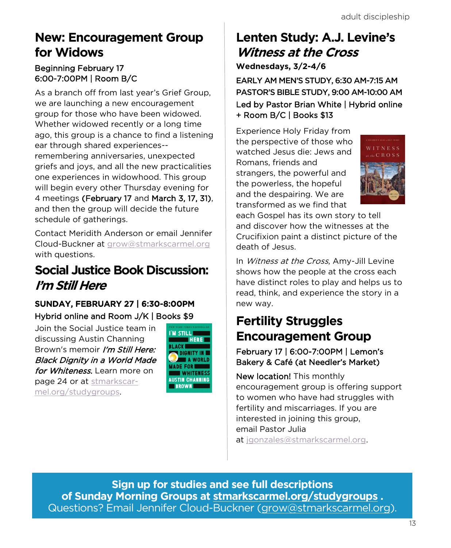## **New: Encouragement Group for Widows**

### Beginning February 17 6:00-7:00PM | Room B/C

As a branch off from last year's Grief Group, we are launching a new encouragement group for those who have been widowed. Whether widowed recently or a long time ago, this group is a chance to find a listening ear through shared experiences- remembering anniversaries, unexpected griefs and joys, and all the new practicalities one experiences in widowhood. This group will begin every other Thursday evening for 4 meetings (February 17 and March 3, 17, 31), and then the group will decide the future schedule of gatherings.

Contact Meridith Anderson or email Jennifer Cloud-Buckner at [grow@stmarkscarmel.org](mailto:grow@stmarkscarmel.org) with questions.

## **Social Justice Book Discussion: I'm Still Here**

### SUNDAY, FEBRUARY 27 | 6:30-8:00PM Hybrid online and Room J/K | Books \$9

Join the Social Justice team in discussing Austin Channing Brown's memoir I'm Still Here: Black Dignity in a World Made for Whiteness. Learn more on page 24 or at [stmarkscar](https://stmarkscarmel.org/studygroups/)[mel.org/studygroups.](https://stmarkscarmel.org/studygroups/) 



## **Lenten Study: A.J. Levine's Witness at the Cross Wednesdays, 3/2-4/6**

EARLY AM MEN'S STUDY, 6:30 AM-7:15 AM PASTOR'S BIBLE STUDY, 9:00 AM-10:00 AM Led by Pastor Brian White | Hybrid online + Room B/C | Books \$13

Experience Holy Friday from the perspective of those who watched Jesus die: Jews and Romans, friends and strangers, the powerful and the powerless, the hopeful and the despairing. We are transformed as we find that



each Gospel has its own story to tell and discover how the witnesses at the Crucifixion paint a distinct picture of the death of Jesus.

In Witness at the Cross, Amy-Jill Levine shows how the people at the cross each have distinct roles to play and helps us to read, think, and experience the story in a new way.

## **Fertility Struggles Encouragement Group**

### February 17 | 6:00-7:00PM | Lemon's Bakery & Café (at Needler's Market)

New location! This monthly encouragement group is offering support to women who have had struggles with fertility and miscarriages. If you are interested in joining this group, email Pastor Julia

at [jgonzales@stmarkscarmel.org.](mailto:jgonzales@stmarkscarmel.org?subject=Fertility%20Struggles%20Encouragement%20Group)

**Sign up for studies and see full descriptions of Sunday Morning Groups at [stmarkscarmel.org/studygroups](https://stmarkscarmel.org/studygroups/) .** Questions? Email Jennifer Cloud-Buckner [\(grow@stmarkscarmel.org\).](mailto:grow@stmarkscarmel.org)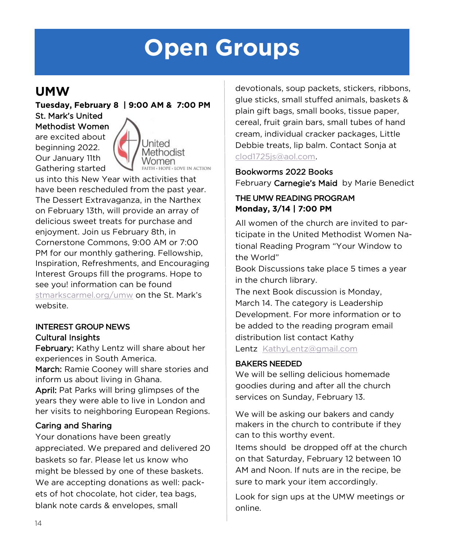# **Open Groups**

## **UMW**

**Tuesday, February 8 | 9:00 AM & 7:00 PM** St. Mark's United

Methodist Women are excited about beginning 2022. Our January 11th Gathering started



us into this New Year with activities that have been rescheduled from the past year. The Dessert Extravaganza, in the Narthex on February 13th, will provide an array of delicious sweet treats for purchase and enjoyment. Join us February 8th, in Cornerstone Commons, 9:00 AM or 7:00 PM for our monthly gathering. Fellowship, Inspiration, Refreshments, and Encouraging Interest Groups fill the programs. Hope to see you! information can be found [stmarkscarmel.org/umw](https://stmarkscarmel.org/umw/) on the St. Mark's website.

### INTEREST GROUP NEWS Cultural Insights

February: Kathy Lentz will share about her experiences in South America.

March: Ramie Cooney will share stories and inform us about living in Ghana.

April: Pat Parks will bring glimpses of the years they were able to live in London and her visits to neighboring European Regions.

### Caring and Sharing

Your donations have been greatly appreciated. We prepared and delivered 20 baskets so far. Please let us know who might be blessed by one of these baskets. We are accepting donations as well: packets of hot chocolate, hot cider, tea bags, blank note cards & envelopes, small

devotionals, soup packets, stickers, ribbons, glue sticks, small stuffed animals, baskets & plain gift bags, small books, tissue paper, cereal, fruit grain bars, small tubes of hand cream, individual cracker packages, Little Debbie treats, lip balm. Contact Sonja at [clod1725js@aol.com.](mailto:clod1725js@aol.com) 

### Bookworms 2022 Books February Carnegie's Maid by Marie Benedict

### THE UMW READING PROGRAM **Monday, 3/14 | 7:00 PM**

All women of the church are invited to participate in the United Methodist Women National Reading Program "Your Window to the World"

Book Discussions take place 5 times a year in the church library.

The next Book discussion is Monday, March 14. The category is Leadership Development. For more information or to be added to the reading program email distribution list contact Kathy Lentz [KathyLentz@gmail.com](mailto:KathyLentz@gmail.com)

### BAKERS NEEDED

We will be selling delicious homemade goodies during and after all the church services on Sunday, February 13.

We will be asking our bakers and candy makers in the church to contribute if they can to this worthy event.

Items should be dropped off at the church on that Saturday, February 12 between 10 AM and Noon. If nuts are in the recipe, be sure to mark your item accordingly.

Look for sign ups at the UMW meetings or online.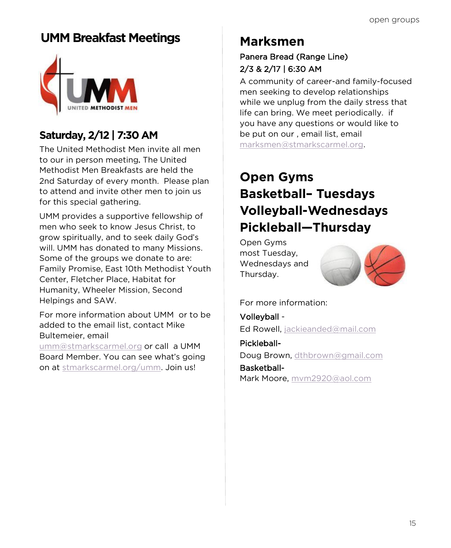## **UMM Breakfast Meetings Marksmen**



## **Saturday, 2/12 | 7:30 AM**

The United Methodist Men invite all men to our in person meeting. The United Methodist Men Breakfasts are held the 2nd Saturday of every month. Please plan to attend and invite other men to join us for this special gathering.

UMM provides a supportive fellowship of men who seek to know Jesus Christ, to grow spiritually, and to seek daily God's will. UMM has donated to many Missions. Some of the groups we donate to are: Family Promise, East 10th Methodist Youth Center, Fletcher Place, Habitat for Humanity, Wheeler Mission, Second Helpings and SAW.

For more information about UMM or to be added to the email list, contact Mike Bultemeier, email

[umm@stmarkscarmel.org](mailto:umm@stmarkscarmel.org) or call a UMM Board Member. You can see what's going on at [stmarkscarmel.org/umm.](https://www.stmarkscarmel.org/umm/) Join us!

### Panera Bread (Range Line) 2/3 & 2/17 | 6:30 AM

A community of career-and family-focused men seeking to develop relationships while we unplug from the daily stress that life can bring. We meet periodically. if you have any questions or would like to be put on our , email list, email [marksmen@stmarkscarmel.org.](mailto:marksmen@stmarkscarmel.org)

## **Open Gyms Basketball– Tuesdays Volleyball-Wednesdays Pickleball—Thursday**

Open Gyms most Tuesday, Wednesdays and Thursday.



### For more information:

Volleyball Ed Rowell, [jackieanded@mail.com](mailto:jackieanded@mail.com)

PickleballDoug Brown, [dthbrown@gmail.com](mailto:dthbrown@gmail.com) Basketball-Mark Moore, [mvm2920@aol.com](mailto:mvm2920@aol.com)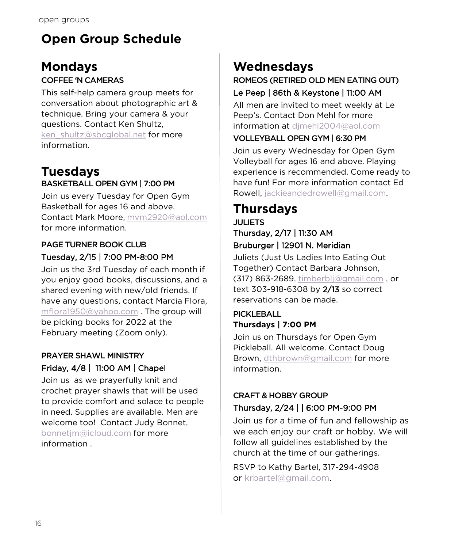## **Open Group Schedule**

# **Mondays**

### COFFEE 'N CAMERAS

This self-help camera group meets for conversation about photographic art & technique. Bring your camera & your questions. Contact Ken Shultz, [ken\\_shultz@sbcglobal.net](mailto:ken_shultz@sbcglobal.net?subject=Coffee%20and%20Cameras) for more information.

### **Tuesdays** BASKETBALL OPEN GYM | 7:00 PM

Join us every Tuesday for Open Gym Basketball for ages 16 and above. Contact Mark Moore, [mvm2920@aol.com](mailto:mvm2920@aol.com) for more information.

### PAGE TURNER BOOK CLUB Tuesday, 2/15 | 7:00 PM-8:00 PM

Join us the 3rd Tuesday of each month if you enjoy good books, discussions, and a shared evening with new/old friends. If have any questions, contact Marcia Flora, [mflora1950@yahoo.com](mailto:mflora1950@yahoo.com?subject=Page%20Turners%20Book%20Club) . The group will be picking books for 2022 at the February meeting (Zoom only).

### PRAYER SHAWL MINISTRY Friday, 4/8 | 11:00 AM | Chapel

Join us as we prayerfully knit and crochet prayer shawls that will be used to provide comfort and solace to people in need. Supplies are available. Men are welcome too! Contact Judy Bonnet, [bo](mailto:bonnetjm@icloud.com)[nnetjm@icloud.com](mailto:jbonnetjm@icloud.com) for more information .

## **Wednesdays**

## ROMEOS (RETIRED OLD MEN EATING OUT)

### Le Peep | 86th & Keystone | 11:00 AM

All men are invited to meet weekly at Le Peep's. Contact Don Mehl for more information at [djmehl2004@aol.com](mailto:djmehl2004@aol.com?subject=ROMEOS)

### VOLLEYBALL OPEN GYM | 6:30 PM

Join us every Wednesday for Open Gym Volleyball for ages 16 and above. Playing experience is recommended. Come ready to have fun! For more information contact Ed Rowell, [jackieandedrowell@gmail.com.](mailto:jackieandedrowell@gmail.com?subject=Volleyball%20Open%20Gym)

## **Thursdays**

### JULIETS Thursday, 2/17 | 11:30 AM Bruburger | 12901 N. Meridian

Juliets (Just Us Ladies Into Eating Out Together) Contact Barbara Johnson, (317) 863-2689, [timberblj@gmail.com](mailto:timberblj@gmail.com?subject=JULIETS) , or text 303-918-6308 by 2/13 so correct reservations can be made.

### PICKLEBALL **Thursdays | 7:00 PM**

Join us on Thursdays for Open Gym Pickleball. All welcome. Contact Doug Brown, [dthbrown@gmail.com](mailto:dthbrown@gmail.com) for more information.

### CRAFT & HOBBY GROUP Thursday, 2/24 | | 6:00 PM-9:00 PM

Join us for a time of fun and fellowship as we each enjoy our craft or hobby. We will follow all guidelines established by the church at the time of our gatherings.

RSVP to Kathy Bartel, 317-294-4908 or [krbartel@gmail.com.](mailto:krbartel@gmail.com?subject=Craft%20&%20Hobby%20Group)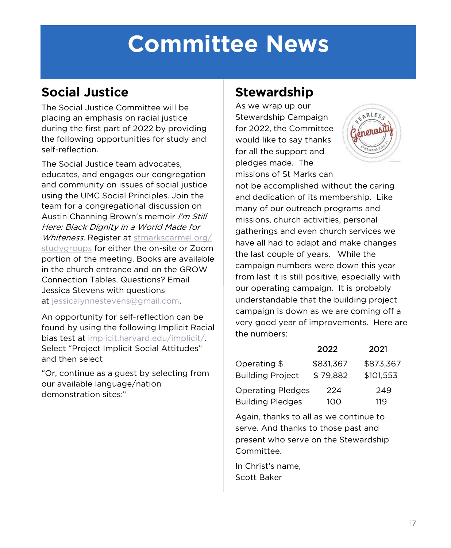# **Committee News**

## **Social Justice**

The Social Justice Committee will be placing an emphasis on racial justice during the first part of 2022 by providing the following opportunities for study and self-reflection.

The Social Justice team advocates, educates, and engages our congregation and community on issues of social justice using the UMC Social Principles. Join the team for a congregational discussion on Austin Channing Brown's memoir I'm Still Here: Black Dignity in a World Made for Whiteness. Register at [stmarkscarmel.org/](https://stmarkscarmel.org/studygroups/) [studygroups](https://stmarkscarmel.org/studygroups/) for either the on-site or Zoom portion of the meeting. Books are available in the church entrance and on the GROW Connection Tables. Questions? Email Jessica Stevens with questions at [jessicalynnestevens@gmail.com.](mailto:jessicalynnestevens@gmail.com)

An opportunity for self-reflection can be found by using the following Implicit Racial bias test at [implicit.harvard.edu/implicit/.](https://implicit.harvard.edu/implicit/) Select "Project Implicit Social Attitudes" and then select

"Or, continue as a guest by selecting from our available language/nation demonstration sites:"

## **Stewardship**

As we wrap up our Stewardship Campaign for 2022, the Committee would like to say thanks for all the support and pledges made. The missions of St Marks can



not be accomplished without the caring and dedication of its membership. Like many of our outreach programs and missions, church activities, personal gatherings and even church services we have all had to adapt and make changes the last couple of years. While the campaign numbers were down this year from last it is still positive, especially with our operating campaign. It is probably understandable that the building project campaign is down as we are coming off a very good year of improvements. Here are the numbers:

|                          | 2022      | 2021      |
|--------------------------|-----------|-----------|
| Operating \$             | \$831,367 | \$873.367 |
| <b>Building Project</b>  | \$79,882  | \$101.553 |
| <b>Operating Pledges</b> | 224       | 249       |
| <b>Building Pledges</b>  | 100       | 119       |

Again, thanks to all as we continue to serve. And thanks to those past and present who serve on the Stewardship Committee.

In Christ's name, Scott Baker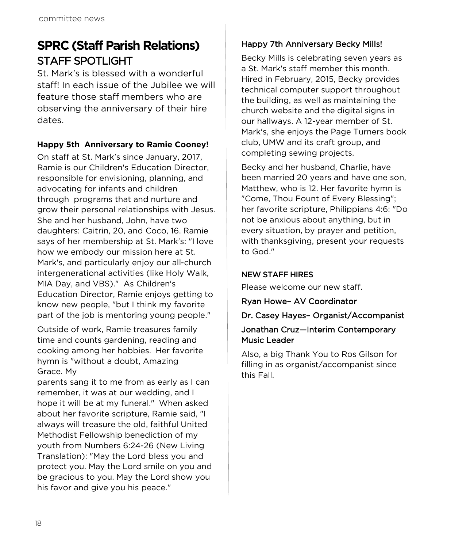## **SPRC (Staff Parish Relations)** STAFF SPOTLIGHT

St. Mark's is blessed with a wonderful staff! In each issue of the Jubilee we will feature those staff members who are observing the anniversary of their hire dates.

### **Happy 5th Anniversary to Ramie Cooney!**

On staff at St. Mark's since January, 2017, Ramie is our Children's Education Director, responsible for envisioning, planning, and advocating for infants and children through programs that and nurture and grow their personal relationships with Jesus. She and her husband, John, have two daughters: Caitrin, 20, and Coco, 16. Ramie says of her membership at St. Mark's: "I love how we embody our mission here at St. Mark's, and particularly enjoy our all-church intergenerational activities (like Holy Walk, MIA Day, and VBS)." As Children's Education Director, Ramie enjoys getting to know new people, "but I think my favorite part of the job is mentoring young people."

Outside of work, Ramie treasures family time and counts gardening, reading and cooking among her hobbies. Her favorite hymn is "without a doubt, Amazing Grace. My

parents sang it to me from as early as I can remember, it was at our wedding, and I hope it will be at my funeral." When asked about her favorite scripture, Ramie said, "I always will treasure the old, faithful United Methodist Fellowship benediction of my youth from Numbers 6:24-26 (New Living Translation): "May the Lord bless you and protect you. May the Lord smile on you and be gracious to you. May the Lord show you his favor and give you his peace."

### Happy 7th Anniversary Becky Mills!

Becky Mills is celebrating seven years as a St. Mark's staff member this month. Hired in February, 2015, Becky provides technical computer support throughout the building, as well as maintaining the church website and the digital signs in our hallways. A 12-year member of St. Mark's, she enjoys the Page Turners book club, UMW and its craft group, and completing sewing projects.

Becky and her husband, Charlie, have been married 20 years and have one son, Matthew, who is 12. Her favorite hymn is "Come, Thou Fount of Every Blessing"; her favorite scripture, Philippians 4:6: "Do not be anxious about anything, but in every situation, by prayer and petition, with thanksgiving, present your requests to God."

### NEW STAFF HIRES

Please welcome our new staff.

### Ryan Howe– AV Coordinator

### Dr. Casey Hayes– Organist/Accompanist

### Jonathan Cruz—Interim Contemporary Music Leader

Also, a big Thank You to Ros Gilson for filling in as organist/accompanist since this Fall.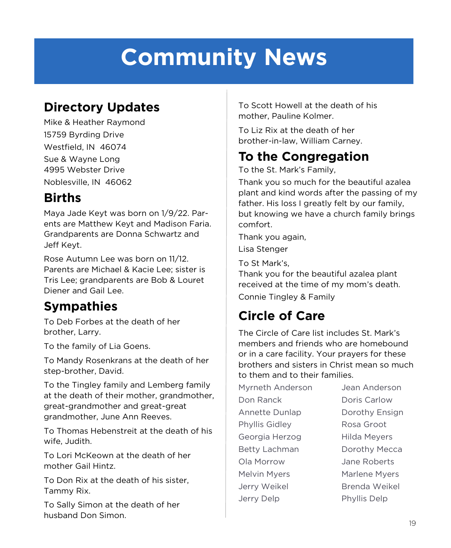# **Community News**

## **Directory Updates**

Mike & Heather Raymond 15759 Byrding Drive Westfield, IN 46074 Sue & Wayne Long 4995 Webster Drive Noblesville, IN 46062

## **Births**

Maya Jade Keyt was born on 1/9/22. Parents are Matthew Keyt and Madison Faria. Grandparents are Donna Schwartz and Jeff Keyt.

Rose Autumn Lee was born on 11/12. Parents are Michael & Kacie Lee; sister is Tris Lee; grandparents are Bob & Louret Diener and Gail Lee.

## **Sympathies**

To Deb Forbes at the death of her brother, Larry.

To the family of Lia Goens.

To Mandy Rosenkrans at the death of her step-brother, David.

To the Tingley family and Lemberg family at the death of their mother, grandmother, great-grandmother and great-great grandmother, June Ann Reeves.

To Thomas Hebenstreit at the death of his wife, Judith.

To Lori McKeown at the death of her mother Gail Hintz.

To Don Rix at the death of his sister, Tammy Rix.

To Sally Simon at the death of her husband Don Simon.

To Scott Howell at the death of his mother, Pauline Kolmer.

To Liz Rix at the death of her brother-in-law, William Carney.

## **To the Congregation**

To the St. Mark's Family,

Thank you so much for the beautiful azalea plant and kind words after the passing of my father. His loss I greatly felt by our family, but knowing we have a church family brings comfort.

Thank you again,

Lisa Stenger

To St Mark's,

Thank you for the beautiful azalea plant received at the time of my mom's death. Connie Tingley & Family

## **Circle of Care**

The Circle of Care list includes St. Mark's members and friends who are homebound or in a care facility. Your prayers for these brothers and sisters in Christ mean so much to them and to their families.

Myrneth Anderson Jean Anderson Don Ranck Doris Carlow Annette Dunlap **Dorothy Ensign** Phyllis Gidley Rosa Groot Georgia Herzog Hilda Meyers Betty Lachman Dorothy Mecca Ola Morrow Jane Roberts Melvin Myers **Marlene Myers** Jerry Weikel Brenda Weikel Jerry Delp Phyllis Delp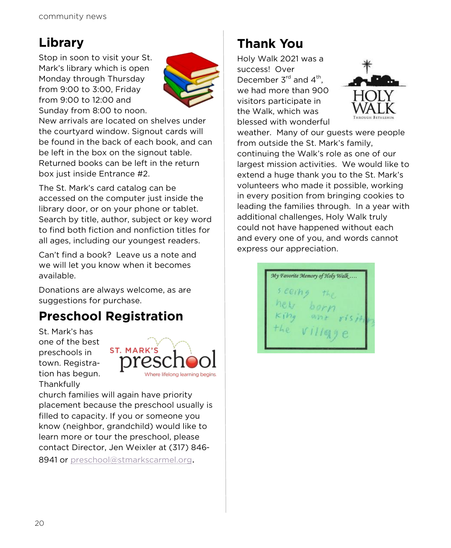## **Library**

Stop in soon to visit your St. Mark's library which is open Monday through Thursday from 9:00 to 3:00, Friday from 9:00 to 12:00 and Sunday from 8:00 to noon.



New arrivals are located on shelves under the courtyard window. Signout cards will be found in the back of each book, and can be left in the box on the signout table. Returned books can be left in the return box just inside Entrance #2.

The St. Mark's card catalog can be accessed on the computer just inside the library door, or on your phone or tablet. Search by title, author, subject or key word to find both fiction and nonfiction titles for all ages, including our youngest readers.

Can't find a book? Leave us a note and we will let you know when it becomes available.

Donations are always welcome, as are suggestions for purchase.

## **Preschool Registration**

St. Mark's has one of the best preschools in town. Registration has begun. **Thankfully** 



church families will again have priority placement because the preschool usually is filled to capacity. If you or someone you know (neighbor, grandchild) would like to learn more or tour the preschool, please contact Director, Jen Weixler at (317) 846 8941 or [preschool@stmarkscarmel.org](mailto:preschool@stmarkscarmel.org).

## **Thank You**

Holy Walk 2021 was a success! Over December  $3^{rd}$  and  $4^{th}$ , we had more than 900 visitors participate in the Walk, which was blessed with wonderful



weather. Many of our guests were people from outside the St. Mark's family, continuing the Walk's role as one of our largest mission activities. We would like to extend a huge thank you to the St. Mark's volunteers who made it possible, working in every position from bringing cookies to leading the families through. In a year with additional challenges, Holy Walk truly could not have happened without each and every one of you, and words cannot express our appreciation.

My Favorite Memory of Holy Walk...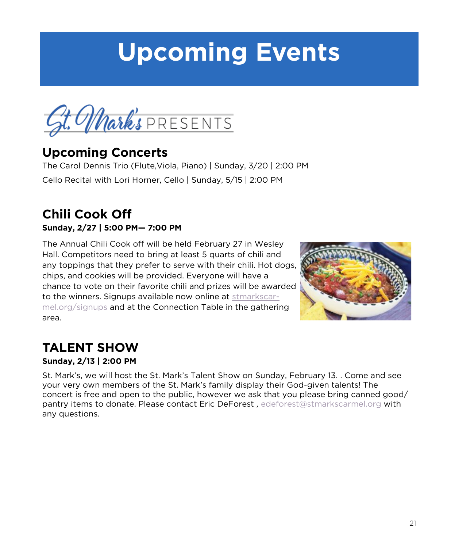# **Upcoming Events**



## **Upcoming Concerts**

The Carol Dennis Trio (Flute,Viola, Piano) | Sunday, 3/20 | 2:00 PM Cello Recital with Lori Horner, Cello | Sunday, 5/15 | 2:00 PM

## **Chili Cook Off Sunday, 2/27 | 5:00 PM— 7:00 PM**

The Annual Chili Cook off will be held February 27 in Wesley Hall. Competitors need to bring at least 5 quarts of chili and any toppings that they prefer to serve with their chili. Hot dogs, chips, and cookies will be provided. Everyone will have a chance to vote on their favorite chili and prizes will be awarded to the winners. Signups available now online at [stmarkscar](https://stmarkscarmel.org/signups/)[mel.org/signups](https://stmarkscarmel.org/signups/) and at the Connection Table in the gathering area.



## **TALENT SHOW**

### **Sunday, 2/13 | 2:00 PM**

St. Mark's, we will host the St. Mark's Talent Show on Sunday, February 13. . Come and see your very own members of the St. Mark's family display their God-given talents! The concert is free and open to the public, however we ask that you please bring canned good/ pantry items to donate. Please contact Eric DeForest , [edeforest@stmarkscarmel.org](mailto:edeforest@stmarkscarmel.org) with any questions.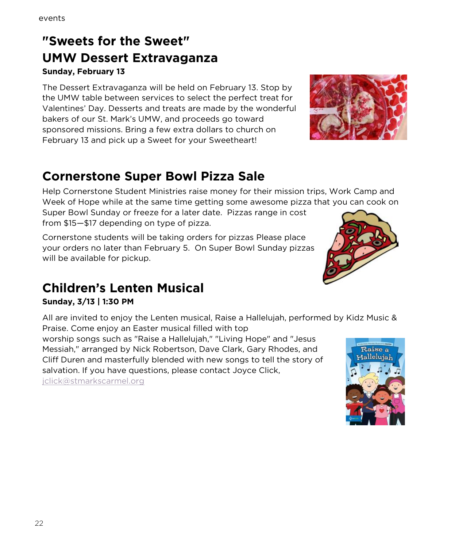## **"Sweets for the Sweet" UMW Dessert Extravaganza Sunday, February 13**

The Dessert Extravaganza will be held on February 13. Stop by the UMW table between services to select the perfect treat for Valentines' Day. Desserts and treats are made by the wonderful bakers of our St. Mark's UMW, and proceeds go toward sponsored missions. Bring a few extra dollars to church on February 13 and pick up a Sweet for your Sweetheart!

# **Cornerstone Super Bowl Pizza Sale**

Help Cornerstone Student Ministries raise money for their mission trips, Work Camp and Week of Hope while at the same time getting some awesome pizza that you can cook on

Super Bowl Sunday or freeze for a later date. Pizzas range in cost from \$15—\$17 depending on type of pizza.

Cornerstone students will be taking orders for pizzas Please place your orders no later than February 5. On Super Bowl Sunday pizzas will be available for pickup.

## **Children's Lenten Musical**

### **Sunday, 3/13 | 1:30 PM**

All are invited to enjoy the Lenten musical, Raise a Hallelujah, performed by Kidz Music & Praise. Come enjoy an Easter musical filled with top

worship songs such as "Raise a Hallelujah," "Living Hope" and "Jesus Messiah," arranged by Nick Robertson, Dave Clark, Gary Rhodes, and Cliff Duren and masterfully blended with new songs to tell the story of salvation. If you have questions, please contact Joyce Click,

[jclick@stmarkscarmel.org](mailto:jclick@stmarkscarmel.org)





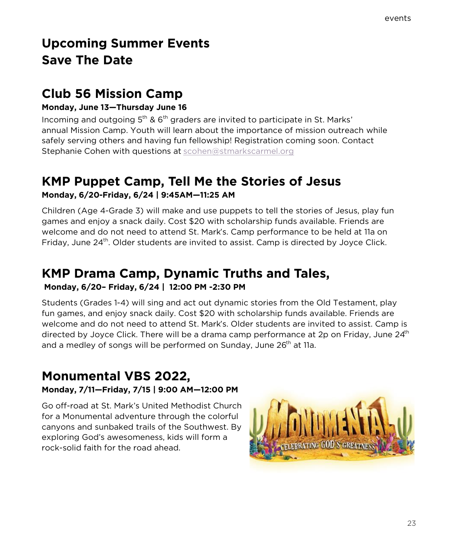## **Upcoming Summer Events Save The Date**

## **Club 56 Mission Camp**

### **Monday, June 13—Thursday June 16**

Incoming and outgoing  $5<sup>th</sup>$  &  $6<sup>th</sup>$  graders are invited to participate in St. Marks' annual Mission Camp. Youth will learn about the importance of mission outreach while safely serving others and having fun fellowship! Registration coming soon. Contact Stephanie Cohen with questions at [scohen@stmarkscarmel.org](mailto:scohen@stmarkscarmel.org)

### **KMP Puppet Camp, Tell Me the Stories of Jesus Monday, 6/20-Friday, 6/24 | 9:45AM—11:25 AM**

Children (Age 4-Grade 3) will make and use puppets to tell the stories of Jesus, play fun games and enjoy a snack daily. Cost \$20 with scholarship funds available. Friends are welcome and do not need to attend St. Mark's. Camp performance to be held at 11a on Friday, June 24<sup>th</sup>, Older students are invited to assist. Camp is directed by Joyce Click.

### **KMP Drama Camp, Dynamic Truths and Tales, Monday, 6/20– Friday, 6/24 | 12:00 PM -2:30 PM**

Students (Grades 1-4) will sing and act out dynamic stories from the Old Testament, play fun games, and enjoy snack daily. Cost \$20 with scholarship funds available. Friends are welcome and do not need to attend St. Mark's. Older students are invited to assist. Camp is directed by Joyce Click. There will be a drama camp performance at 2p on Friday, June  $24<sup>th</sup>$ and a medley of songs will be performed on Sunday, June 26<sup>th</sup> at 11a.

### **Monumental VBS 2022, Monday, 7/11—Friday, 7/15 | 9:00 AM—12:00 PM**

Go off-road at St. Mark's United Methodist Church for a Monumental adventure through the colorful canyons and sunbaked trails of the Southwest. By exploring God's awesomeness, kids will form a rock-solid faith for the road ahead.